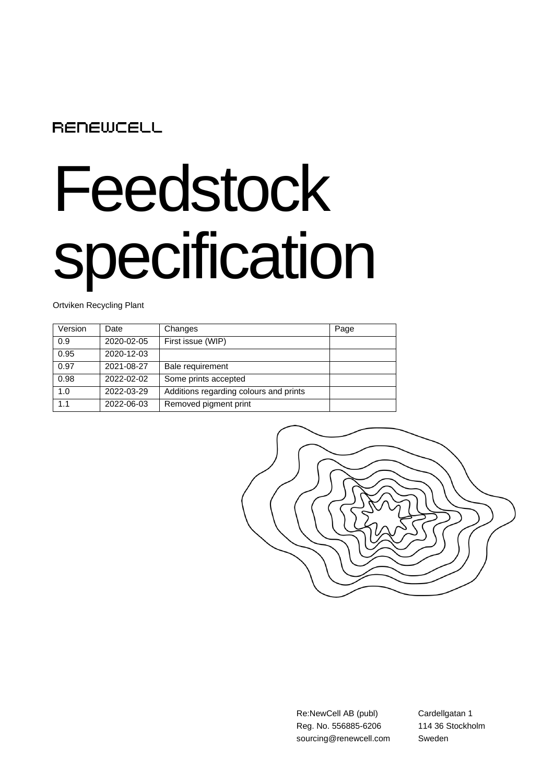## **RENEWCELL**

## Feedstock specification

Ortviken Recycling Plant

| Version | Date       | Changes                                | Page |
|---------|------------|----------------------------------------|------|
| 0.9     | 2020-02-05 | First issue (WIP)                      |      |
| 0.95    | 2020-12-03 |                                        |      |
| 0.97    | 2021-08-27 | Bale requirement                       |      |
| 0.98    | 2022-02-02 | Some prints accepted                   |      |
| 1.0     | 2022-03-29 | Additions regarding colours and prints |      |
| 1.1     | 2022-06-03 | Removed pigment print                  |      |



Re:NewCell AB (publ) Reg. No. 556885-6206 sourcing@renewcell.com Cardellgatan 1 114 36 Stockholm Sweden